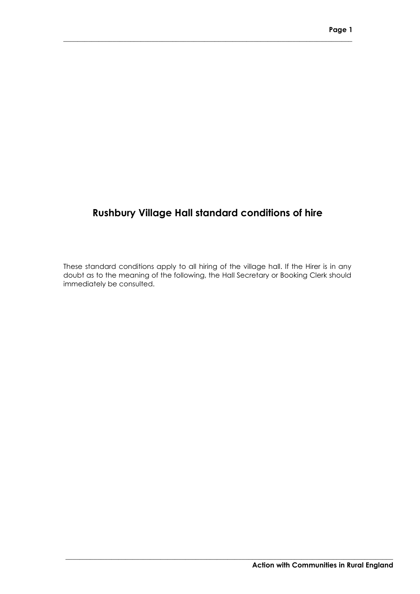# **Rushbury Village Hall standard conditions of hire**

**\_\_\_\_\_\_\_\_\_\_\_\_\_\_\_\_\_\_\_\_\_\_\_\_\_\_\_\_\_\_\_\_\_\_\_\_\_\_\_\_\_\_\_\_\_\_\_\_\_\_\_\_\_\_\_\_\_\_\_\_\_\_\_\_\_\_\_\_\_\_\_\_\_\_\_\_\_\_\_\_\_\_**

These standard conditions apply to all hiring of the village hall. If the Hirer is in any doubt as to the meaning of the following, the Hall Secretary or Booking Clerk should immediately be consulted.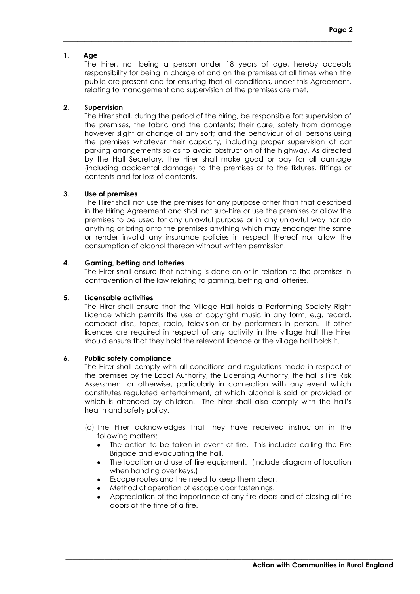# **1. Age**

The Hirer, not being a person under 18 years of age, hereby accepts responsibility for being in charge of and on the premises at all times when the public are present and for ensuring that all conditions, under this Agreement, relating to management and supervision of the premises are met.

**\_\_\_\_\_\_\_\_\_\_\_\_\_\_\_\_\_\_\_\_\_\_\_\_\_\_\_\_\_\_\_\_\_\_\_\_\_\_\_\_\_\_\_\_\_\_\_\_\_\_\_\_\_\_\_\_\_\_\_\_\_\_\_\_\_\_\_\_\_\_\_\_\_\_\_\_\_\_\_\_\_\_**

# **2. Supervision**

The Hirer shall, during the period of the hiring, be responsible for: supervision of the premises, the fabric and the contents; their care, safety from damage however slight or change of any sort; and the behaviour of all persons using the premises whatever their capacity, including proper supervision of car parking arrangements so as to avoid obstruction of the highway. As directed by the Hall Secretary, the Hirer shall make good or pay for all damage (including accidental damage) to the premises or to the fixtures, fittings or contents and for loss of contents.

# **3. Use of premises**

The Hirer shall not use the premises for any purpose other than that described in the Hiring Agreement and shall not sub-hire or use the premises or allow the premises to be used for any unlawful purpose or in any unlawful way nor do anything or bring onto the premises anything which may endanger the same or render invalid any insurance policies in respect thereof nor allow the consumption of alcohol thereon without written permission.

# **4. Gaming, betting and lotteries**

The Hirer shall ensure that nothing is done on or in relation to the premises in contravention of the law relating to gaming, betting and lotteries.

# **5. Licensable activities**

The Hirer shall ensure that the Village Hall holds a Performing Society Right Licence which permits the use of copyright music in any form, e.g. record, compact disc, tapes, radio, television or by performers in person. If other licences are required in respect of any activity in the village hall the Hirer should ensure that they hold the relevant licence or the village hall holds it.

# **6. Public safety compliance**

The Hirer shall comply with all conditions and regulations made in respect of the premises by the Local Authority, the Licensing Authority, the hall's Fire Risk Assessment or otherwise, particularly in connection with any event which constitutes regulated entertainment, at which alcohol is sold or provided or which is attended by children. The hirer shall also comply with the hall's health and safety policy.

- (a) The Hirer acknowledges that they have received instruction in the following matters:
	- The action to be taken in event of fire. This includes calling the Fire Brigade and evacuating the hall.
	- The location and use of fire equipment. (Include diagram of location when handing over keys.)
	- Escape routes and the need to keep them clear.  $\bullet$
	- Method of operation of escape door fastenings.  $\bullet$
	- Appreciation of the importance of any fire doors and of closing all fire doors at the time of a fire.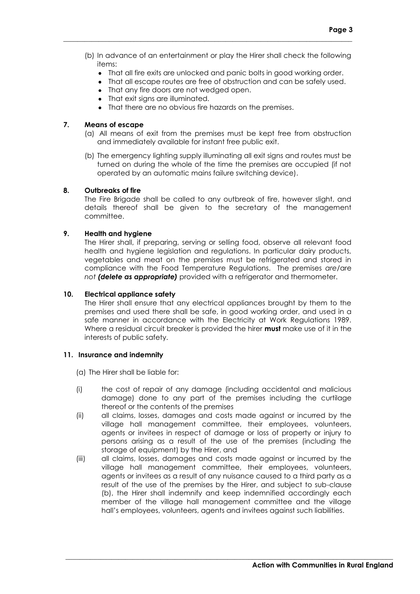(b) In advance of an entertainment or play the Hirer shall check the following items:

**\_\_\_\_\_\_\_\_\_\_\_\_\_\_\_\_\_\_\_\_\_\_\_\_\_\_\_\_\_\_\_\_\_\_\_\_\_\_\_\_\_\_\_\_\_\_\_\_\_\_\_\_\_\_\_\_\_\_\_\_\_\_\_\_\_\_\_\_\_\_\_\_\_\_\_\_\_\_\_\_\_\_**

- That all fire exits are unlocked and panic bolts in good working order.
- That all escape routes are free of obstruction and can be safely used.
- That any fire doors are not wedged open.
- That exit sians are illuminated.
- That there are no obvious fire hazards on the premises.

# **7. Means of escape**

- (a) All means of exit from the premises must be kept free from obstruction and immediately available for instant free public exit.
- (b) The emergency lighting supply illuminating all exit signs and routes must be turned on during the whole of the time the premises are occupied (if not operated by an automatic mains failure switching device).

# **8. Outbreaks of fire**

The Fire Brigade shall be called to any outbreak of fire, however slight, and details thereof shall be given to the secretary of the management committee.

# **9. Health and hygiene**

The Hirer shall, if preparing, serving or selling food, observe all relevant food health and hygiene legislation and regulations. In particular dairy products, vegetables and meat on the premises must be refrigerated and stored in compliance with the Food Temperature Regulations. The premises *are*/are *not (delete as appropriate)* provided with a refrigerator and thermometer.

# **10. Electrical appliance safety**

The Hirer shall ensure that any electrical appliances brought by them to the premises and used there shall be safe, in good working order, and used in a safe manner in accordance with the Electricity at Work Regulations 1989. Where a residual circuit breaker is provided the hirer **must** make use of it in the interests of public safety.

### **11. Insurance and indemnity**

(a) The Hirer shall be liable for:

- (i) the cost of repair of any damage (including accidental and malicious damage) done to any part of the premises including the curtilage thereof or the contents of the premises
- (ii) all claims, losses, damages and costs made against or incurred by the village hall management committee, their employees, volunteers, agents or invitees in respect of damage or loss of property or injury to persons arising as a result of the use of the premises (including the storage of equipment) by the Hirer, and
- (iii) all claims, losses, damages and costs made against or incurred by the village hall management committee, their employees, volunteers, agents or invitees as a result of any nuisance caused to a third party as a result of the use of the premises by the Hirer, and subject to sub-clause (b), the Hirer shall indemnify and keep indemnified accordingly each member of the village hall management committee and the village hall's employees, volunteers, agents and invitees against such liabilities.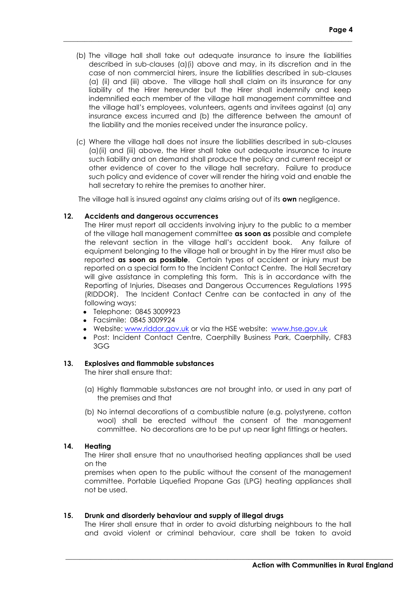(b) The village hall shall take out adequate insurance to insure the liabilities described in sub-clauses (a)(i) above and may, in its discretion and in the case of non commercial hirers, insure the liabilities described in sub-clauses (a) (ii) and (iii) above. The village hall shall claim on its insurance for any liability of the Hirer hereunder but the Hirer shall indemnify and keep indemnified each member of the village hall management committee and the village hall's employees, volunteers, agents and invitees against (a) any insurance excess incurred and (b) the difference between the amount of the liability and the monies received under the insurance policy.

**\_\_\_\_\_\_\_\_\_\_\_\_\_\_\_\_\_\_\_\_\_\_\_\_\_\_\_\_\_\_\_\_\_\_\_\_\_\_\_\_\_\_\_\_\_\_\_\_\_\_\_\_\_\_\_\_\_\_\_\_\_\_\_\_\_\_\_\_\_\_\_\_\_\_\_\_\_\_\_\_\_\_**

(c) Where the village hall does not insure the liabilities described in sub-clauses (a)(ii) and (iii) above, the Hirer shall take out adequate insurance to insure such liability and on demand shall produce the policy and current receipt or other evidence of cover to the village hall secretary. Failure to produce such policy and evidence of cover will render the hiring void and enable the hall secretary to rehire the premises to another hirer.

The village hall is insured against any claims arising out of its **own** negligence.

#### **12. Accidents and dangerous occurrences**

The Hirer must report all accidents involving injury to the public to a member of the village hall management committee **as soon as** possible and complete the relevant section in the village hall's accident book. Any failure of equipment belonging to the village hall or brought in by the Hirer must also be reported **as soon as possible**. Certain types of accident or injury must be reported on a special form to the Incident Contact Centre. The Hall Secretary will give assistance in completing this form. This is in accordance with the Reporting of Injuries, Diseases and Dangerous Occurrences Regulations 1995 (RIDDOR). The Incident Contact Centre can be contacted in any of the following ways:

- Telephone: 0845 3009923
- Facsimile: 0845 3009924
- Website: [www.riddor.gov.uk](http://www.riddor.gov.uk/) or via the HSE website: [www.hse.gov.uk](http://www.hse.gov.uk/)
- Post: Incident Contact Centre, Caerphilly Business Park, Caerphilly, CF83 3GG

#### **13. Explosives and flammable substances**

The hirer shall ensure that:

- (a) Highly flammable substances are not brought into, or used in any part of the premises and that
- (b) No internal decorations of a combustible nature (e.g. polystyrene, cotton wool) shall be erected without the consent of the management committee. No decorations are to be put up near light fittings or heaters.

# **14. Heating**

The Hirer shall ensure that no unauthorised heating appliances shall be used on the

premises when open to the public without the consent of the management committee. Portable Liquefied Propane Gas (LPG) heating appliances shall not be used.

#### **15. Drunk and disorderly behaviour and supply of illegal drugs**

The Hirer shall ensure that in order to avoid disturbing neighbours to the hall and avoid violent or criminal behaviour, care shall be taken to avoid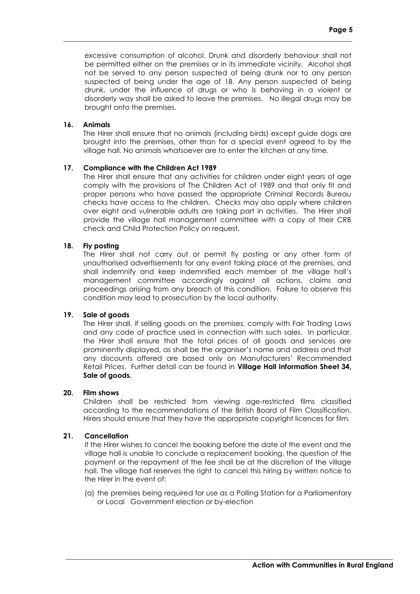excessive consumption of alcohol. Drunk and disorderly behaviour shall not be permitted either on the premises or in its immediate vicinity. Alcohol shall not be served to any person suspected of being drunk nor to any person suspected of being under the age of 18. Any person suspected of being drunk, under the influence of drugs or who is behaving in a violent or disorderly way shall be asked to leave the premises. No illegal drugs may be brought onto the premises.

**\_\_\_\_\_\_\_\_\_\_\_\_\_\_\_\_\_\_\_\_\_\_\_\_\_\_\_\_\_\_\_\_\_\_\_\_\_\_\_\_\_\_\_\_\_\_\_\_\_\_\_\_\_\_\_\_\_\_\_\_\_\_\_\_\_\_\_\_\_\_\_\_\_\_\_\_\_\_\_\_\_\_**

### **16. Animals**

The Hirer shall ensure that no animals (including birds) except guide dogs are brought into the premises, other than for a special event agreed to by the village hall. No animals whatsoever are to enter the kitchen at any time.

#### **17. Compliance with the Children Act 1989**

The Hirer shall ensure that any activities for children under eight years of age comply with the provisions of The Children Act of 1989 and that only fit and proper persons who have passed the appropriate Criminal Records Bureau checks have access to the children. Checks may also apply where children over eight and vulnerable adults are taking part in activities. The Hirer shall provide the village hall management committee with a copy of their CRB check and Child Protection Policy on request.

# **18. Fly posting**

The Hirer shall not carry out or permit fly posting or any other form of unauthorised advertisements for any event taking place at the premises, and shall indemnify and keep indemnified each member of the village hall's management committee accordingly against all actions, claims and proceedings arising from any breach of this condition. Failure to observe this condition may lead to prosecution by the local authority.

#### **19. Sale of goods**

The Hirer shall, if selling goods on the premises, comply with Fair Trading Laws and any code of practice used in connection with such sales. In particular, the Hirer shall ensure that the total prices of all goods and services are prominently displayed, as shall be the organiser's name and address and that any discounts offered are based only on Manufacturers' Recommended Retail Prices. Further detail can be found in **Village Hall Information Sheet 34, Sale of goods.**

### **20. Film shows**

Children shall be restricted from viewing age-restricted films classified according to the recommendations of the British Board of Film Classification. Hirers should ensure that they have the appropriate copyright licences for film.

### **21. Cancellation**

If the Hirer wishes to cancel the booking before the date of the event and the village hall is unable to conclude a replacement booking, the question of the payment or the repayment of the fee shall be at the discretion of the village hall. The village hall reserves the right to cancel this hiring by written notice to the Hirer in the event of:

(a) the premises being required for use as a Polling Station for a Parliamentary or Local Government election or by-election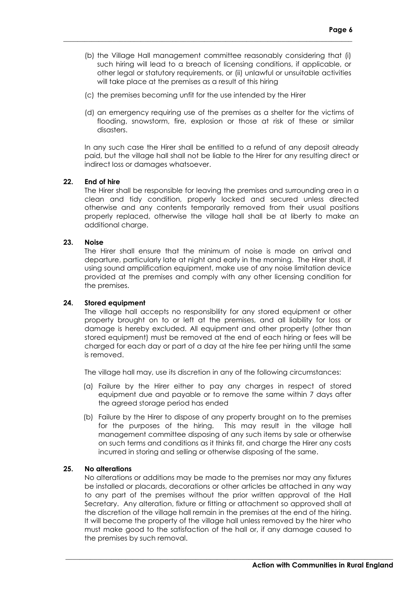(b) the Village Hall management committee reasonably considering that (i) such hiring will lead to a breach of licensing conditions, if applicable, or other legal or statutory requirements, or (ii) unlawful or unsuitable activities will take place at the premises as a result of this hiring

**\_\_\_\_\_\_\_\_\_\_\_\_\_\_\_\_\_\_\_\_\_\_\_\_\_\_\_\_\_\_\_\_\_\_\_\_\_\_\_\_\_\_\_\_\_\_\_\_\_\_\_\_\_\_\_\_\_\_\_\_\_\_\_\_\_\_\_\_\_\_\_\_\_\_\_\_\_\_\_\_\_\_**

- (c) the premises becoming unfit for the use intended by the Hirer
- (d) an emergency requiring use of the premises as a shelter for the victims of flooding, snowstorm, fire, explosion or those at risk of these or similar disasters.

In any such case the Hirer shall be entitled to a refund of any deposit already paid, but the village hall shall not be liable to the Hirer for any resulting direct or indirect loss or damages whatsoever.

### **22. End of hire**

The Hirer shall be responsible for leaving the premises and surrounding area in a clean and tidy condition, properly locked and secured unless directed otherwise and any contents temporarily removed from their usual positions properly replaced, otherwise the village hall shall be at liberty to make an additional charge.

### **23. Noise**

The Hirer shall ensure that the minimum of noise is made on arrival and departure, particularly late at night and early in the morning. The Hirer shall, if using sound amplification equipment, make use of any noise limitation device provided at the premises and comply with any other licensing condition for the premises.

### **24. Stored equipment**

The village hall accepts no responsibility for any stored equipment or other property brought on to or left at the premises, and all liability for loss or damage is hereby excluded. All equipment and other property (other than stored equipment) must be removed at the end of each hiring or fees will be charged for each day or part of a day at the hire fee per hiring until the same is removed.

The village hall may, use its discretion in any of the following circumstances:

- (a) Failure by the Hirer either to pay any charges in respect of stored equipment due and payable or to remove the same within 7 days after the agreed storage period has ended
- (b) Failure by the Hirer to dispose of any property brought on to the premises for the purposes of the hiring. This may result in the village hall management committee disposing of any such items by sale or otherwise on such terms and conditions as it thinks fit, and charge the Hirer any costs incurred in storing and selling or otherwise disposing of the same.

### **25. No alterations**

No alterations or additions may be made to the premises nor may any fixtures be installed or placards, decorations or other articles be attached in any way to any part of the premises without the prior written approval of the Hall Secretary. Any alteration, fixture or fitting or attachment so approved shall at the discretion of the village hall remain in the premises at the end of the hiring. It will become the property of the village hall unless removed by the hirer who must make good to the satisfaction of the hall or, if any damage caused to the premises by such removal.